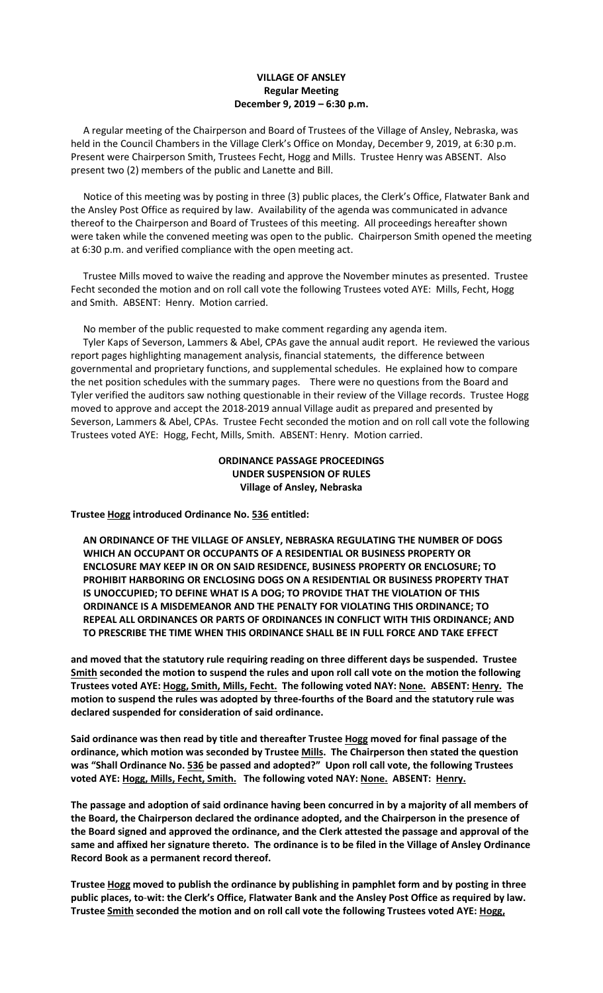### **VILLAGE OF ANSLEY Regular Meeting December 9, 2019 – 6:30 p.m.**

 A regular meeting of the Chairperson and Board of Trustees of the Village of Ansley, Nebraska, was held in the Council Chambers in the Village Clerk's Office on Monday, December 9, 2019, at 6:30 p.m. Present were Chairperson Smith, Trustees Fecht, Hogg and Mills. Trustee Henry was ABSENT. Also present two (2) members of the public and Lanette and Bill.

 Notice of this meeting was by posting in three (3) public places, the Clerk's Office, Flatwater Bank and the Ansley Post Office as required by law. Availability of the agenda was communicated in advance thereof to the Chairperson and Board of Trustees of this meeting. All proceedings hereafter shown were taken while the convened meeting was open to the public. Chairperson Smith opened the meeting at 6:30 p.m. and verified compliance with the open meeting act.

 Trustee Mills moved to waive the reading and approve the November minutes as presented. Trustee Fecht seconded the motion and on roll call vote the following Trustees voted AYE: Mills, Fecht, Hogg and Smith. ABSENT: Henry. Motion carried.

No member of the public requested to make comment regarding any agenda item.

 Tyler Kaps of Severson, Lammers & Abel, CPAs gave the annual audit report. He reviewed the various report pages highlighting management analysis, financial statements, the difference between governmental and proprietary functions, and supplemental schedules. He explained how to compare the net position schedules with the summary pages. There were no questions from the Board and Tyler verified the auditors saw nothing questionable in their review of the Village records. Trustee Hogg moved to approve and accept the 2018-2019 annual Village audit as prepared and presented by Severson, Lammers & Abel, CPAs. Trustee Fecht seconded the motion and on roll call vote the following Trustees voted AYE: Hogg, Fecht, Mills, Smith. ABSENT: Henry. Motion carried.

> **ORDINANCE PASSAGE PROCEEDINGS UNDER SUSPENSION OF RULES Village of Ansley, Nebraska**

**Trustee Hogg introduced Ordinance No. 536 entitled:**

 **AN ORDINANCE OF THE VILLAGE OF ANSLEY, NEBRASKA REGULATING THE NUMBER OF DOGS WHICH AN OCCUPANT OR OCCUPANTS OF A RESIDENTIAL OR BUSINESS PROPERTY OR ENCLOSURE MAY KEEP IN OR ON SAID RESIDENCE, BUSINESS PROPERTY OR ENCLOSURE; TO PROHIBIT HARBORING OR ENCLOSING DOGS ON A RESIDENTIAL OR BUSINESS PROPERTY THAT IS UNOCCUPIED; TO DEFINE WHAT IS A DOG; TO PROVIDE THAT THE VIOLATION OF THIS ORDINANCE IS A MISDEMEANOR AND THE PENALTY FOR VIOLATING THIS ORDINANCE; TO REPEAL ALL ORDINANCES OR PARTS OF ORDINANCES IN CONFLICT WITH THIS ORDINANCE; AND TO PRESCRIBE THE TIME WHEN THIS ORDINANCE SHALL BE IN FULL FORCE AND TAKE EFFECT**

**and moved that the statutory rule requiring reading on three different days be suspended. Trustee Smith seconded the motion to suspend the rules and upon roll call vote on the motion the following Trustees voted AYE: Hogg, Smith, Mills, Fecht. The following voted NAY: None. ABSENT: Henry. The motion to suspend the rules was adopted by three-fourths of the Board and the statutory rule was declared suspended for consideration of said ordinance.**

**Said ordinance was then read by title and thereafter Trustee Hogg moved for final passage of the ordinance, which motion was seconded by Trustee Mills. The Chairperson then stated the question was "Shall Ordinance No. 536 be passed and adopted?" Upon roll call vote, the following Trustees voted AYE: Hogg, Mills, Fecht, Smith. The following voted NAY: None. ABSENT: Henry.**

**The passage and adoption of said ordinance having been concurred in by a majority of all members of the Board, the Chairperson declared the ordinance adopted, and the Chairperson in the presence of the Board signed and approved the ordinance, and the Clerk attested the passage and approval of the same and affixed her signature thereto. The ordinance is to be filed in the Village of Ansley Ordinance Record Book as a permanent record thereof.**

**Trustee Hogg moved to publish the ordinance by publishing in pamphlet form and by posting in three public places, to**-**wit: the Clerk's Office, Flatwater Bank and the Ansley Post Office as required by law. Trustee Smith seconded the motion and on roll call vote the following Trustees voted AYE: Hogg,**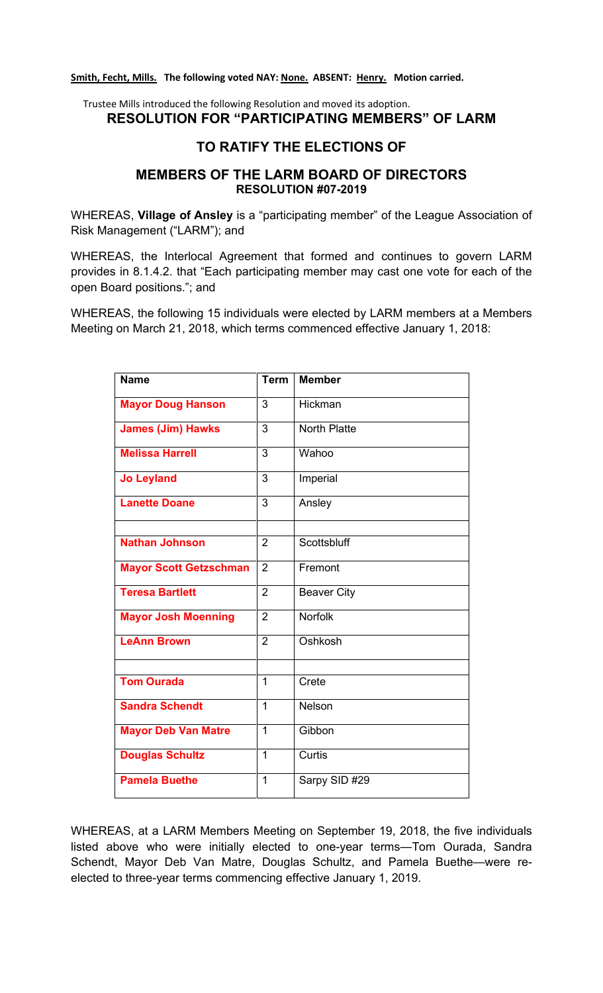## **Smith, Fecht, Mills. The following voted NAY: None. ABSENT: Henry. Motion carried.**

# Trustee Mills introduced the following Resolution and moved its adoption. **RESOLUTION FOR "PARTICIPATING MEMBERS" OF LARM**

# **TO RATIFY THE ELECTIONS OF**

# **MEMBERS OF THE LARM BOARD OF DIRECTORS RESOLUTION #07-2019**

WHEREAS, **Village of Ansley** is a "participating member" of the League Association of Risk Management ("LARM"); and

WHEREAS, the Interlocal Agreement that formed and continues to govern LARM provides in 8.1.4.2. that "Each participating member may cast one vote for each of the open Board positions."; and

WHEREAS, the following 15 individuals were elected by LARM members at a Members Meeting on March 21, 2018, which terms commenced effective January 1, 2018:

| <b>Name</b>                   | <b>Term</b>    | <b>Member</b>       |
|-------------------------------|----------------|---------------------|
| <b>Mayor Doug Hanson</b>      | 3              | Hickman             |
| <b>James (Jim) Hawks</b>      | 3              | <b>North Platte</b> |
| <b>Melissa Harrell</b>        | 3              | Wahoo               |
| <b>Jo Leyland</b>             | 3              | Imperial            |
| <b>Lanette Doane</b>          | 3              | Ansley              |
|                               |                |                     |
| <b>Nathan Johnson</b>         | $\overline{2}$ | Scottsbluff         |
| <b>Mayor Scott Getzschman</b> | $\overline{2}$ | Fremont             |
| <b>Teresa Bartlett</b>        | $\overline{2}$ | <b>Beaver City</b>  |
| <b>Mayor Josh Moenning</b>    | $\overline{2}$ | <b>Norfolk</b>      |
| <b>LeAnn Brown</b>            | $\overline{2}$ | Oshkosh             |
|                               |                |                     |
| <b>Tom Ourada</b>             | $\mathbf{1}$   | Crete               |
| <b>Sandra Schendt</b>         | $\mathbf{1}$   | Nelson              |
| <b>Mayor Deb Van Matre</b>    | 1              | Gibbon              |
| <b>Douglas Schultz</b>        | $\mathbf{1}$   | Curtis              |
| <b>Pamela Buethe</b>          | 1              | Sarpy SID #29       |

WHEREAS, at a LARM Members Meeting on September 19, 2018, the five individuals listed above who were initially elected to one-year terms—Tom Ourada, Sandra Schendt, Mayor Deb Van Matre, Douglas Schultz, and Pamela Buethe—were reelected to three-year terms commencing effective January 1, 2019.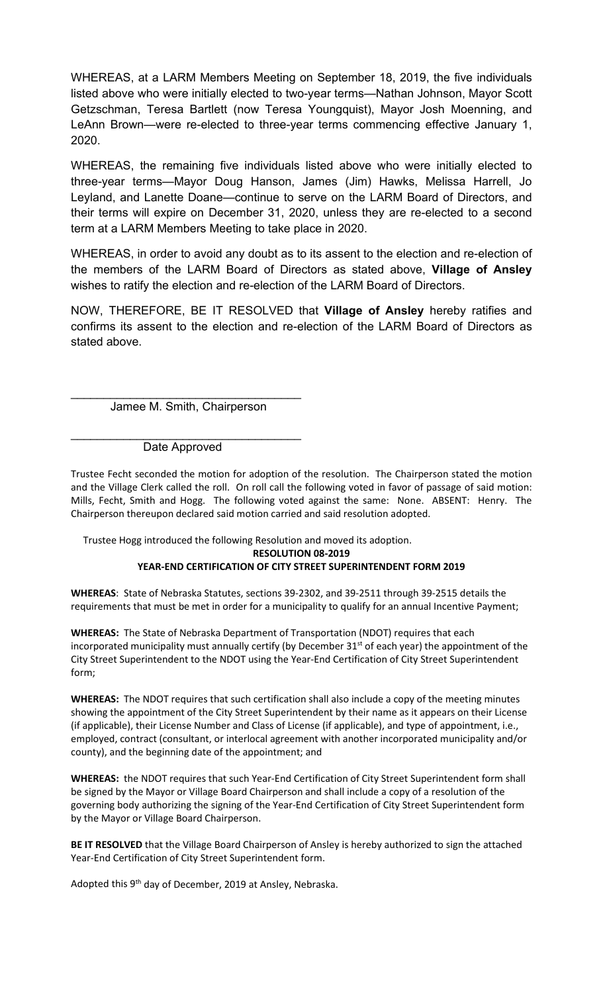WHEREAS, at a LARM Members Meeting on September 18, 2019, the five individuals listed above who were initially elected to two-year terms—Nathan Johnson, Mayor Scott Getzschman, Teresa Bartlett (now Teresa Youngquist), Mayor Josh Moenning, and LeAnn Brown—were re-elected to three-year terms commencing effective January 1, 2020.

WHEREAS, the remaining five individuals listed above who were initially elected to three-year terms—Mayor Doug Hanson, James (Jim) Hawks, Melissa Harrell, Jo Leyland, and Lanette Doane—continue to serve on the LARM Board of Directors, and their terms will expire on December 31, 2020, unless they are re-elected to a second term at a LARM Members Meeting to take place in 2020.

WHEREAS, in order to avoid any doubt as to its assent to the election and re-election of the members of the LARM Board of Directors as stated above, **Village of Ansley** wishes to ratify the election and re-election of the LARM Board of Directors.

NOW, THEREFORE, BE IT RESOLVED that **Village of Ansley** hereby ratifies and confirms its assent to the election and re-election of the LARM Board of Directors as stated above.

\_\_\_\_\_\_\_\_\_\_\_\_\_\_\_\_\_\_\_\_\_\_\_\_\_\_\_\_\_\_\_\_\_\_\_ Jamee M. Smith, Chairperson

\_\_\_\_\_\_\_\_\_\_\_\_\_\_\_\_\_\_\_\_\_\_\_\_\_\_\_\_\_\_\_\_\_\_\_ Date Approved

Trustee Fecht seconded the motion for adoption of the resolution. The Chairperson stated the motion and the Village Clerk called the roll. On roll call the following voted in favor of passage of said motion: Mills, Fecht, Smith and Hogg. The following voted against the same: None. ABSENT: Henry. The Chairperson thereupon declared said motion carried and said resolution adopted.

Trustee Hogg introduced the following Resolution and moved its adoption.

**RESOLUTION 08-2019**

## **YEAR-END CERTIFICATION OF CITY STREET SUPERINTENDENT FORM 2019**

**WHEREAS**: State of Nebraska Statutes, sections 39-2302, and 39-2511 through 39-2515 details the requirements that must be met in order for a municipality to qualify for an annual Incentive Payment;

**WHEREAS:** The State of Nebraska Department of Transportation (NDOT) requires that each incorporated municipality must annually certify (by December 31 $<sup>st</sup>$  of each year) the appointment of the</sup> City Street Superintendent to the NDOT using the Year-End Certification of City Street Superintendent form;

**WHEREAS:** The NDOT requires that such certification shall also include a copy of the meeting minutes showing the appointment of the City Street Superintendent by their name as it appears on their License (if applicable), their License Number and Class of License (if applicable), and type of appointment, i.e., employed, contract (consultant, or interlocal agreement with another incorporated municipality and/or county), and the beginning date of the appointment; and

**WHEREAS:** the NDOT requires that such Year-End Certification of City Street Superintendent form shall be signed by the Mayor or Village Board Chairperson and shall include a copy of a resolution of the governing body authorizing the signing of the Year-End Certification of City Street Superintendent form by the Mayor or Village Board Chairperson.

**BE IT RESOLVED** that the Village Board Chairperson of Ansley is hereby authorized to sign the attached Year-End Certification of City Street Superintendent form.

Adopted this 9<sup>th</sup> day of December, 2019 at Ansley, Nebraska.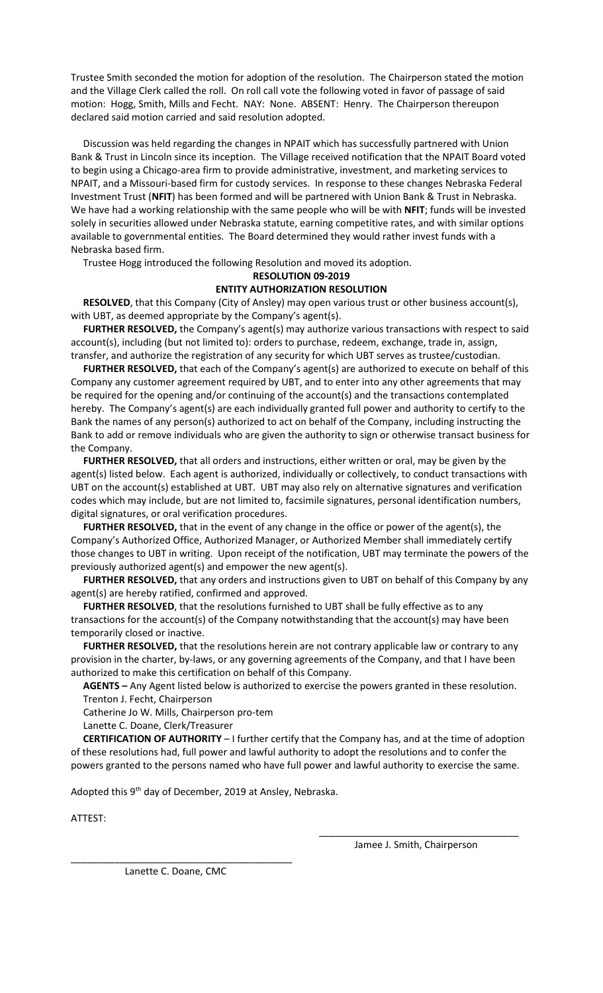Trustee Smith seconded the motion for adoption of the resolution. The Chairperson stated the motion and the Village Clerk called the roll. On roll call vote the following voted in favor of passage of said motion: Hogg, Smith, Mills and Fecht. NAY: None. ABSENT: Henry. The Chairperson thereupon declared said motion carried and said resolution adopted.

 Discussion was held regarding the changes in NPAIT which has successfully partnered with Union Bank & Trust in Lincoln since its inception. The Village received notification that the NPAIT Board voted to begin using a Chicago-area firm to provide administrative, investment, and marketing services to NPAIT, and a Missouri-based firm for custody services. In response to these changes Nebraska Federal Investment Trust (**NFIT**) has been formed and will be partnered with Union Bank & Trust in Nebraska. We have had a working relationship with the same people who will be with **NFIT**; funds will be invested solely in securities allowed under Nebraska statute, earning competitive rates, and with similar options available to governmental entities. The Board determined they would rather invest funds with a Nebraska based firm.

Trustee Hogg introduced the following Resolution and moved its adoption.

## **RESOLUTION 09-2019**

### **ENTITY AUTHORIZATION RESOLUTION**

 **RESOLVED**, that this Company (City of Ansley) may open various trust or other business account(s), with UBT, as deemed appropriate by the Company's agent(s).

 **FURTHER RESOLVED,** the Company's agent(s) may authorize various transactions with respect to said account(s), including (but not limited to): orders to purchase, redeem, exchange, trade in, assign, transfer, and authorize the registration of any security for which UBT serves as trustee/custodian.

 **FURTHER RESOLVED,** that each of the Company's agent(s) are authorized to execute on behalf of this Company any customer agreement required by UBT, and to enter into any other agreements that may be required for the opening and/or continuing of the account(s) and the transactions contemplated hereby. The Company's agent(s) are each individually granted full power and authority to certify to the Bank the names of any person(s) authorized to act on behalf of the Company, including instructing the Bank to add or remove individuals who are given the authority to sign or otherwise transact business for the Company.

 **FURTHER RESOLVED,** that all orders and instructions, either written or oral, may be given by the agent(s) listed below. Each agent is authorized, individually or collectively, to conduct transactions with UBT on the account(s) established at UBT. UBT may also rely on alternative signatures and verification codes which may include, but are not limited to, facsimile signatures, personal identification numbers, digital signatures, or oral verification procedures.

 **FURTHER RESOLVED,** that in the event of any change in the office or power of the agent(s), the Company's Authorized Office, Authorized Manager, or Authorized Member shall immediately certify those changes to UBT in writing. Upon receipt of the notification, UBT may terminate the powers of the previously authorized agent(s) and empower the new agent(s).

 **FURTHER RESOLVED,** that any orders and instructions given to UBT on behalf of this Company by any agent(s) are hereby ratified, confirmed and approved.

 **FURTHER RESOLVED**, that the resolutions furnished to UBT shall be fully effective as to any transactions for the account(s) of the Company notwithstanding that the account(s) may have been temporarily closed or inactive.

 **FURTHER RESOLVED,** that the resolutions herein are not contrary applicable law or contrary to any provision in the charter, by-laws, or any governing agreements of the Company, and that I have been authorized to make this certification on behalf of this Company.

 **AGENTS –** Any Agent listed below is authorized to exercise the powers granted in these resolution. Trenton J. Fecht, Chairperson

Catherine Jo W. Mills, Chairperson pro-tem

Lanette C. Doane, Clerk/Treasurer

 **CERTIFICATION OF AUTHORITY** – I further certify that the Company has, and at the time of adoption of these resolutions had, full power and lawful authority to adopt the resolutions and to confer the powers granted to the persons named who have full power and lawful authority to exercise the same.

Adopted this 9<sup>th</sup> day of December, 2019 at Ansley, Nebraska.

ATTEST:

\_\_\_\_\_\_\_\_\_\_\_\_\_\_\_\_\_\_\_\_\_\_\_\_\_\_\_\_\_\_\_\_\_\_\_\_\_ Jamee J. Smith, Chairperson

\_\_\_\_\_\_\_\_\_\_\_\_\_\_\_\_\_\_\_\_\_\_\_\_\_\_\_\_\_\_\_\_\_\_\_\_\_\_\_\_\_ Lanette C. Doane, CMC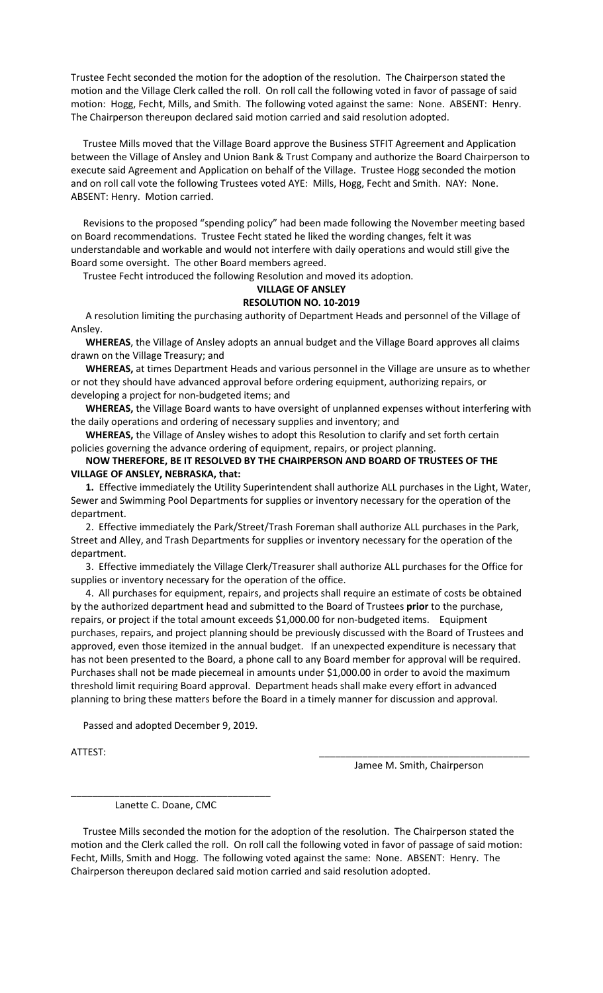Trustee Fecht seconded the motion for the adoption of the resolution. The Chairperson stated the motion and the Village Clerk called the roll. On roll call the following voted in favor of passage of said motion: Hogg, Fecht, Mills, and Smith. The following voted against the same: None. ABSENT: Henry. The Chairperson thereupon declared said motion carried and said resolution adopted.

 Trustee Mills moved that the Village Board approve the Business STFIT Agreement and Application between the Village of Ansley and Union Bank & Trust Company and authorize the Board Chairperson to execute said Agreement and Application on behalf of the Village. Trustee Hogg seconded the motion and on roll call vote the following Trustees voted AYE: Mills, Hogg, Fecht and Smith. NAY: None. ABSENT: Henry. Motion carried.

 Revisions to the proposed "spending policy" had been made following the November meeting based on Board recommendations. Trustee Fecht stated he liked the wording changes, felt it was understandable and workable and would not interfere with daily operations and would still give the Board some oversight. The other Board members agreed.

Trustee Fecht introduced the following Resolution and moved its adoption.

#### **VILLAGE OF ANSLEY RESOLUTION NO. 10-2019**

A resolution limiting the purchasing authority of Department Heads and personnel of the Village of Ansley.

 **WHEREAS**, the Village of Ansley adopts an annual budget and the Village Board approves all claims drawn on the Village Treasury; and

 **WHEREAS,** at times Department Heads and various personnel in the Village are unsure as to whether or not they should have advanced approval before ordering equipment, authorizing repairs, or developing a project for non-budgeted items; and

 **WHEREAS,** the Village Board wants to have oversight of unplanned expenses without interfering with the daily operations and ordering of necessary supplies and inventory; and

 **WHEREAS,** the Village of Ansley wishes to adopt this Resolution to clarify and set forth certain policies governing the advance ordering of equipment, repairs, or project planning.

### **NOW THEREFORE, BE IT RESOLVED BY THE CHAIRPERSON AND BOARD OF TRUSTEES OF THE VILLAGE OF ANSLEY, NEBRASKA, that:**

 **1.** Effective immediately the Utility Superintendent shall authorize ALL purchases in the Light, Water, Sewer and Swimming Pool Departments for supplies or inventory necessary for the operation of the department.

 2. Effective immediately the Park/Street/Trash Foreman shall authorize ALL purchases in the Park, Street and Alley, and Trash Departments for supplies or inventory necessary for the operation of the department.

 3. Effective immediately the Village Clerk/Treasurer shall authorize ALL purchases for the Office for supplies or inventory necessary for the operation of the office.

 4. All purchases for equipment, repairs, and projects shall require an estimate of costs be obtained by the authorized department head and submitted to the Board of Trustees **prior** to the purchase, repairs, or project if the total amount exceeds \$1,000.00 for non-budgeted items. Equipment purchases, repairs, and project planning should be previously discussed with the Board of Trustees and approved, even those itemized in the annual budget. If an unexpected expenditure is necessary that has not been presented to the Board, a phone call to any Board member for approval will be required. Purchases shall not be made piecemeal in amounts under \$1,000.00 in order to avoid the maximum threshold limit requiring Board approval. Department heads shall make every effort in advanced planning to bring these matters before the Board in a timely manner for discussion and approval.

Passed and adopted December 9, 2019.

ATTEST: \_\_\_\_\_\_\_\_\_\_\_\_\_\_\_\_\_\_\_\_\_\_\_\_\_\_\_\_\_\_\_\_\_\_\_\_\_\_\_

Jamee M. Smith, Chairperson

\_\_\_\_\_\_\_\_\_\_\_\_\_\_\_\_\_\_\_\_\_\_\_\_\_\_\_\_\_\_\_\_\_\_\_\_\_ Lanette C. Doane, CMC

Trustee Mills seconded the motion for the adoption of the resolution. The Chairperson stated the motion and the Clerk called the roll. On roll call the following voted in favor of passage of said motion: Fecht, Mills, Smith and Hogg. The following voted against the same: None. ABSENT: Henry. The Chairperson thereupon declared said motion carried and said resolution adopted.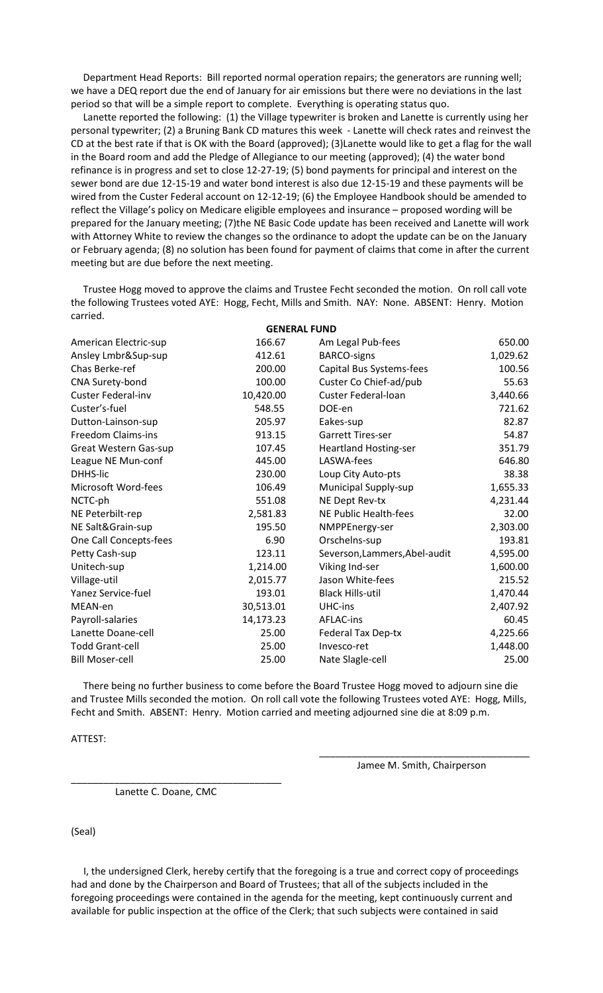Department Head Reports: Bill reported normal operation repairs; the generators are running well; we have a DEQ report due the end of January for air emissions but there were no deviations in the last period so that will be a simple report to complete. Everything is operating status quo.

 Lanette reported the following: (1) the Village typewriter is broken and Lanette is currently using her personal typewriter; (2) a Bruning Bank CD matures this week - Lanette will check rates and reinvest the CD at the best rate if that is OK with the Board (approved); (3)Lanette would like to get a flag for the wall in the Board room and add the Pledge of Allegiance to our meeting (approved); (4) the water bond refinance is in progress and set to close 12-27-19; (5) bond payments for principal and interest on the sewer bond are due 12-15-19 and water bond interest is also due 12-15-19 and these payments will be wired from the Custer Federal account on 12-12-19; (6) the Employee Handbook should be amended to reflect the Village's policy on Medicare eligible employees and insurance – proposed wording will be prepared for the January meeting; (7)the NE Basic Code update has been received and Lanette will work with Attorney White to review the changes so the ordinance to adopt the update can be on the January or February agenda; (8) no solution has been found for payment of claims that come in after the current meeting but are due before the next meeting.

 Trustee Hogg moved to approve the claims and Trustee Fecht seconded the motion. On roll call vote the following Trustees voted AYE: Hogg, Fecht, Mills and Smith. NAY: None. ABSENT: Henry. Motion carried.

| <b>GENERAL FUND</b>    |           |                               |          |  |  |
|------------------------|-----------|-------------------------------|----------|--|--|
| American Electric-sup  | 166.67    | Am Legal Pub-fees             | 650.00   |  |  |
| Ansley Lmbr&Sup-sup    | 412.61    | <b>BARCO-signs</b>            | 1,029.62 |  |  |
| Chas Berke-ref         | 200.00    | Capital Bus Systems-fees      | 100.56   |  |  |
| CNA Surety-bond        | 100.00    | Custer Co Chief-ad/pub        | 55.63    |  |  |
| Custer Federal-inv     | 10,420.00 | Custer Federal-loan           | 3,440.66 |  |  |
| Custer's-fuel          | 548.55    | DOE-en                        | 721.62   |  |  |
| Dutton-Lainson-sup     | 205.97    | Eakes-sup                     | 82.87    |  |  |
| Freedom Claims-ins     | 913.15    | <b>Garrett Tires-ser</b>      | 54.87    |  |  |
| Great Western Gas-sup  | 107.45    | <b>Heartland Hosting-ser</b>  | 351.79   |  |  |
| League NE Mun-conf     | 445.00    | LASWA-fees                    | 646.80   |  |  |
| DHHS-lic               | 230.00    | Loup City Auto-pts            | 38.38    |  |  |
| Microsoft Word-fees    | 106.49    | Municipal Supply-sup          | 1,655.33 |  |  |
| NCTC-ph                | 551.08    | NE Dept Rev-tx                | 4,231.44 |  |  |
| NE Peterbilt-rep       | 2,581.83  | <b>NE Public Health-fees</b>  | 32.00    |  |  |
| NE Salt&Grain-sup      | 195.50    | NMPPEnergy-ser                | 2,303.00 |  |  |
| One Call Concepts-fees | 6.90      | Orschelns-sup                 | 193.81   |  |  |
| Petty Cash-sup         | 123.11    | Severson, Lammers, Abel-audit | 4,595.00 |  |  |
| Unitech-sup            | 1,214.00  | Viking Ind-ser                | 1,600.00 |  |  |
| Village-util           | 2,015.77  | Jason White-fees              | 215.52   |  |  |
| Yanez Service-fuel     | 193.01    | <b>Black Hills-util</b>       | 1,470.44 |  |  |
| MEAN-en                | 30,513.01 | UHC-ins                       | 2,407.92 |  |  |
| Payroll-salaries       | 14,173.23 | AFLAC-ins                     | 60.45    |  |  |
| Lanette Doane-cell     | 25.00     | Federal Tax Dep-tx            | 4,225.66 |  |  |
| <b>Todd Grant-cell</b> | 25.00     | Invesco-ret                   | 1,448.00 |  |  |
| <b>Bill Moser-cell</b> | 25.00     | Nate Slagle-cell              | 25.00    |  |  |
|                        |           |                               |          |  |  |

 There being no further business to come before the Board Trustee Hogg moved to adjourn sine die and Trustee Mills seconded the motion. On roll call vote the following Trustees voted AYE: Hogg, Mills, Fecht and Smith. ABSENT: Henry. Motion carried and meeting adjourned sine die at 8:09 p.m.

ATTEST:

\_\_\_\_\_\_\_\_\_\_\_\_\_\_\_\_\_\_\_\_\_\_\_\_\_\_\_\_\_\_\_\_\_\_\_\_\_\_\_ Jamee M. Smith, Chairperson

Lanette C. Doane, CMC

\_\_\_\_\_\_\_\_\_\_\_\_\_\_\_\_\_\_\_\_\_\_\_\_\_\_\_\_\_\_\_\_\_\_\_\_\_\_\_

(Seal)

 I, the undersigned Clerk, hereby certify that the foregoing is a true and correct copy of proceedings had and done by the Chairperson and Board of Trustees; that all of the subjects included in the foregoing proceedings were contained in the agenda for the meeting, kept continuously current and available for public inspection at the office of the Clerk; that such subjects were contained in said